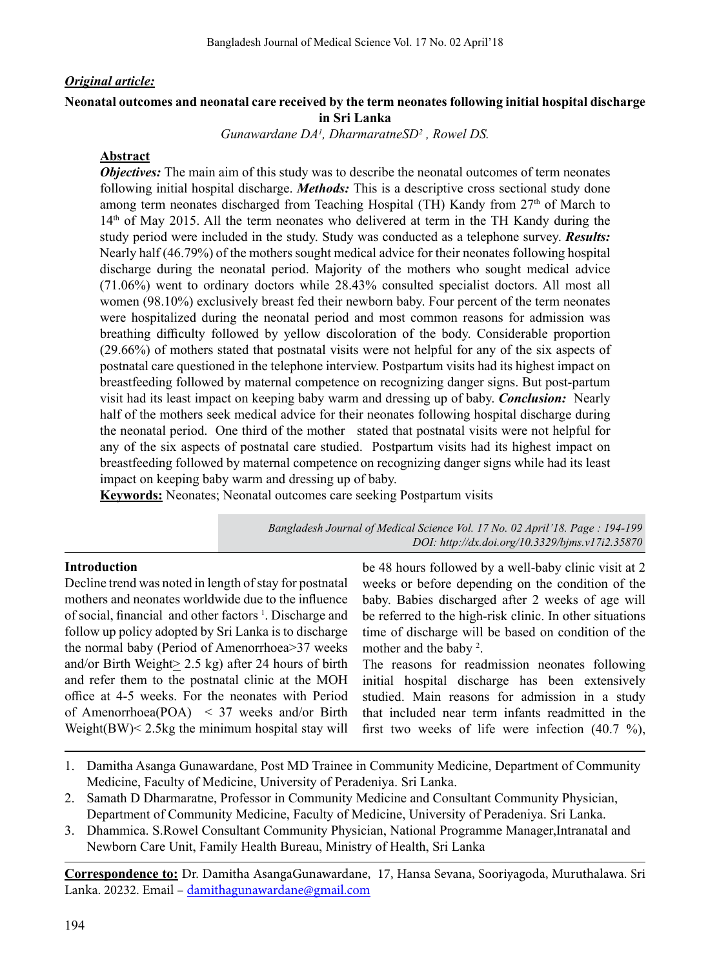### *Original article:*

#### **Neonatal outcomes and neonatal care received by the term neonates following initial hospital discharge in Sri Lanka**

*Gunawardane DA1 , DharmaratneSD2 , Rowel DS.*

### **Abstract**

*Objectives:* The main aim of this study was to describe the neonatal outcomes of term neonates following initial hospital discharge. *Methods:* This is a descriptive cross sectional study done among term neonates discharged from Teaching Hospital (TH) Kandy from  $27<sup>th</sup>$  of March to 14<sup>th</sup> of May 2015. All the term neonates who delivered at term in the TH Kandy during the study period were included in the study. Study was conducted as a telephone survey. *Results:* Nearly half (46.79%) of the mothers sought medical advice for their neonates following hospital discharge during the neonatal period. Majority of the mothers who sought medical advice (71.06%) went to ordinary doctors while 28.43% consulted specialist doctors. All most all women (98.10%) exclusively breast fed their newborn baby. Four percent of the term neonates were hospitalized during the neonatal period and most common reasons for admission was breathing difficulty followed by yellow discoloration of the body. Considerable proportion (29.66%) of mothers stated that postnatal visits were not helpful for any of the six aspects of postnatal care questioned in the telephone interview. Postpartum visits had its highest impact on breastfeeding followed by maternal competence on recognizing danger signs. But post-partum visit had its least impact on keeping baby warm and dressing up of baby. *Conclusion:*Nearly half of the mothers seek medical advice for their neonates following hospital discharge during the neonatal period. One third of the mother stated that postnatal visits were not helpful for any of the six aspects of postnatal care studied. Postpartum visits had its highest impact on breastfeeding followed by maternal competence on recognizing danger signs while had its least impact on keeping baby warm and dressing up of baby.

**Keywords:** Neonates; Neonatal outcomes care seeking Postpartum visits

*Bangladesh Journal of Medical Science Vol. 17 No. 02 April'18. Page : 194-199 DOI: http://dx.doi.org/10.3329/bjms.v17i2.35870* 

### **Introduction**

Decline trend was noted in length of stay for postnatal mothers and neonates worldwide due to the influence of social, financial and other factors<sup>1</sup>. Discharge and follow up policy adopted by Sri Lanka is to discharge the normal baby (Period of Amenorrhoea>37 weeks and/or Birth Weight $\geq 2.5$  kg) after 24 hours of birth and refer them to the postnatal clinic at the MOH office at 4-5 weeks. For the neonates with Period of Amenorrhoea(POA) < 37 weeks and/or Birth Weight(BW)< 2.5kg the minimum hospital stay will

be 48 hours followed by a well-baby clinic visit at 2 weeks or before depending on the condition of the baby. Babies discharged after 2 weeks of age will be referred to the high-risk clinic. In other situations time of discharge will be based on condition of the mother and the baby <sup>2</sup>.

The reasons for readmission neonates following initial hospital discharge has been extensively studied. Main reasons for admission in a study that included near term infants readmitted in the first two weeks of life were infection (40.7 %),

- 1. Damitha Asanga Gunawardane, Post MD Trainee in Community Medicine, Department of Community Medicine, Faculty of Medicine, University of Peradeniya. Sri Lanka.
- 2. Samath D Dharmaratne, Professor in Community Medicine and Consultant Community Physician, Department of Community Medicine, Faculty of Medicine, University of Peradeniya. Sri Lanka.
- 3. Dhammica. S.Rowel Consultant Community Physician, National Programme Manager, Intranatal and Newborn Care Unit, Family Health Bureau, Ministry of Health, Sri Lanka

**Correspondence to:** Dr. Damitha AsangaGunawardane, 17, Hansa Sevana, Sooriyagoda, Muruthalawa. Sri Lanka. 20232. Email – damithagunawardane@gmail.com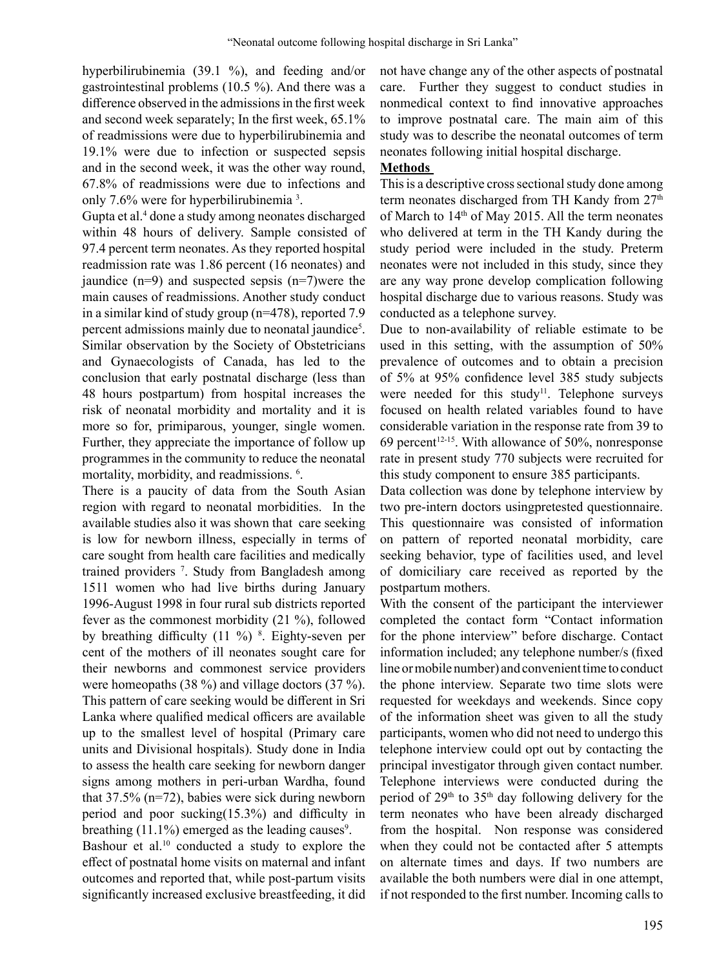hyperbilirubinemia (39.1 %), and feeding and/or gastrointestinal problems (10.5 %). And there was a difference observed in the admissions in the first week and second week separately; In the first week, 65.1% of readmissions were due to hyperbilirubinemia and 19.1% were due to infection or suspected sepsis and in the second week, it was the other way round, 67.8% of readmissions were due to infections and only 7.6% were for hyperbilirubinemia<sup>3</sup>.

Gupta et al.<sup>4</sup> done a study among neonates discharged within 48 hours of delivery. Sample consisted of 97.4 percent term neonates. As they reported hospital readmission rate was 1.86 percent (16 neonates) and jaundice (n=9) and suspected sepsis (n=7)were the main causes of readmissions. Another study conduct in a similar kind of study group (n=478), reported 7.9 percent admissions mainly due to neonatal jaundice<sup>5</sup>. Similar observation by the Society of Obstetricians and Gynaecologists of Canada, has led to the conclusion that early postnatal discharge (less than 48 hours postpartum) from hospital increases the risk of neonatal morbidity and mortality and it is more so for, primiparous, younger, single women. Further, they appreciate the importance of follow up programmes in the community to reduce the neonatal mortality, morbidity, and readmissions. <sup>6</sup> .

There is a paucity of data from the South Asian region with regard to neonatal morbidities. In the available studies also it was shown that care seeking is low for newborn illness, especially in terms of care sought from health care facilities and medically trained providers<sup>7</sup>. Study from Bangladesh among 1511 women who had live births during January 1996-August 1998 in four rural sub districts reported fever as the commonest morbidity (21 %), followed by breathing difficulty (11 %)<sup>8</sup>. Eighty-seven per cent of the mothers of ill neonates sought care for their newborns and commonest service providers were homeopaths (38 %) and village doctors (37 %). This pattern of care seeking would be different in Sri Lanka where qualified medical officers are available up to the smallest level of hospital (Primary care units and Divisional hospitals). Study done in India to assess the health care seeking for newborn danger signs among mothers in peri-urban Wardha, found that 37.5% (n=72), babies were sick during newborn period and poor sucking(15.3%) and difficulty in breathing  $(11.1\%)$  emerged as the leading causes<sup>9</sup>.

Bashour et al.<sup>10</sup> conducted a study to explore the effect of postnatal home visits on maternal and infant outcomes and reported that, while post-partum visits significantly increased exclusive breastfeeding, it did not have change any of the other aspects of postnatal care. Further they suggest to conduct studies in nonmedical context to find innovative approaches to improve postnatal care. The main aim of this study was to describe the neonatal outcomes of term neonates following initial hospital discharge.

## **Methods**

This is a descriptive cross sectional study done among term neonates discharged from TH Kandy from 27<sup>th</sup> of March to 14<sup>th</sup> of May 2015. All the term neonates who delivered at term in the TH Kandy during the study period were included in the study. Preterm neonates were not included in this study, since they are any way prone develop complication following hospital discharge due to various reasons. Study was conducted as a telephone survey.

Due to non-availability of reliable estimate to be used in this setting, with the assumption of 50% prevalence of outcomes and to obtain a precision of 5% at 95% confidence level 385 study subjects were needed for this study<sup>11</sup>. Telephone surveys focused on health related variables found to have considerable variation in the response rate from 39 to 69 percent<sup>12-15</sup>. With allowance of 50%, nonresponse rate in present study 770 subjects were recruited for this study component to ensure 385 participants.

Data collection was done by telephone interview by two pre-intern doctors usingpretested questionnaire. This questionnaire was consisted of information on pattern of reported neonatal morbidity, care seeking behavior, type of facilities used, and level of domiciliary care received as reported by the postpartum mothers.

With the consent of the participant the interviewer completed the contact form "Contact information for the phone interview" before discharge. Contact information included; any telephone number/s (fixed line or mobile number) and convenient time to conduct the phone interview. Separate two time slots were requested for weekdays and weekends. Since copy of the information sheet was given to all the study participants, women who did not need to undergo this telephone interview could opt out by contacting the principal investigator through given contact number. Telephone interviews were conducted during the period of 29th to 35th day following delivery for the term neonates who have been already discharged from the hospital. Non response was considered when they could not be contacted after 5 attempts on alternate times and days. If two numbers are available the both numbers were dial in one attempt, if not responded to the first number. Incoming calls to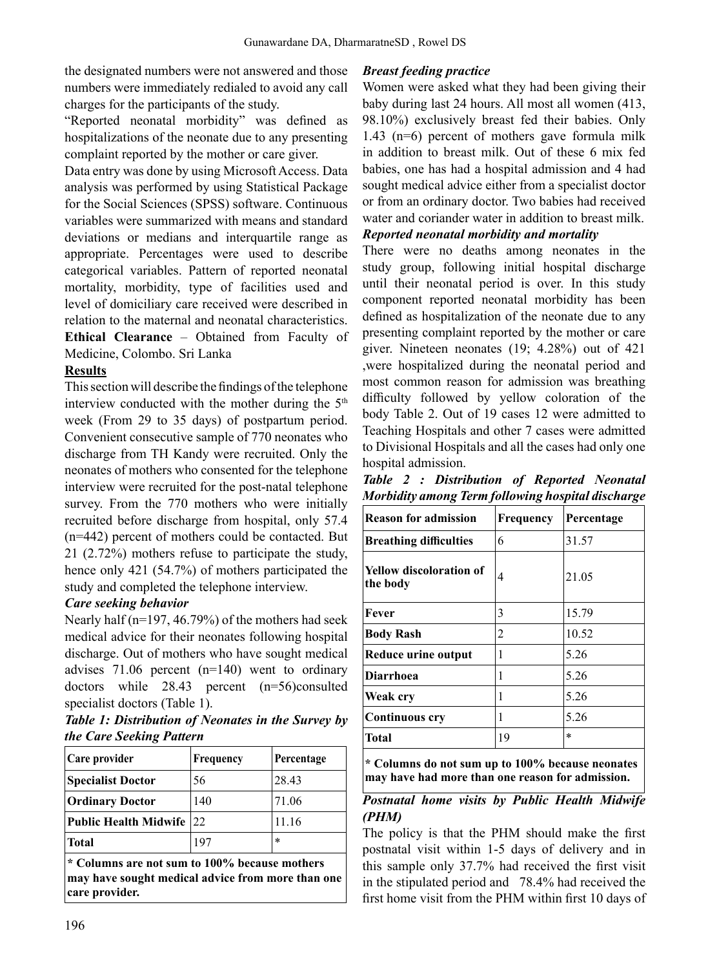the designated numbers were not answered and those numbers were immediately redialed to avoid any call charges for the participants of the study.

"Reported neonatal morbidity" was defined as hospitalizations of the neonate due to any presenting complaint reported by the mother or care giver.

Data entry was done by using Microsoft Access. Data analysis was performed by using Statistical Package for the Social Sciences (SPSS) software. Continuous variables were summarized with means and standard deviations or medians and interquartile range as appropriate. Percentages were used to describe categorical variables. Pattern of reported neonatal mortality, morbidity, type of facilities used and level of domiciliary care received were described in relation to the maternal and neonatal characteristics. **Ethical Clearance** – Obtained from Faculty of Medicine, Colombo. Sri Lanka

# **Results**

Thissection will describe the findings ofthe telephone interview conducted with the mother during the  $5<sup>th</sup>$ week (From 29 to 35 days) of postpartum period. Convenient consecutive sample of 770 neonates who discharge from TH Kandy were recruited. Only the neonates of mothers who consented for the telephone interview were recruited for the post-natal telephone survey. From the 770 mothers who were initially recruited before discharge from hospital, only 57.4 (n=442) percent of mothers could be contacted. But 21 (2.72%) mothers refuse to participate the study, hence only 421 (54.7%) of mothers participated the study and completed the telephone interview.

# *Care seeking behavior*

Nearly half (n=197, 46.79%) of the mothers had seek medical advice for their neonates following hospital discharge. Out of mothers who have sought medical advises 71.06 percent (n=140) went to ordinary doctors while 28.43 percent (n=56)consulted specialist doctors (Table 1).

*Table 1: Distribution of Neonates in the Survey by the Care Seeking Pattern*

| Care provider                    | Frequency | Percentage |
|----------------------------------|-----------|------------|
| <b>Specialist Doctor</b>         | 56        | 28.43      |
| <b>Ordinary Doctor</b>           | 140       | 71.06      |
| <b>Public Health Midwife 122</b> |           | 11.16      |
| Total                            |           | $\ast$     |

**\* Columns are not sum to 100% because mothers may have sought medical advice from more than one care provider.**

# *Breast feeding practice*

Women were asked what they had been giving their baby during last 24 hours. All most all women (413, 98.10%) exclusively breast fed their babies. Only 1.43 (n=6) percent of mothers gave formula milk in addition to breast milk. Out of these 6 mix fed babies, one has had a hospital admission and 4 had sought medical advice either from a specialist doctor or from an ordinary doctor. Two babies had received water and coriander water in addition to breast milk.

# *Reported neonatal morbidity and mortality*

There were no deaths among neonates in the study group, following initial hospital discharge until their neonatal period is over. In this study component reported neonatal morbidity has been defined as hospitalization of the neonate due to any presenting complaint reported by the mother or care giver. Nineteen neonates (19; 4.28%) out of 421 ,were hospitalized during the neonatal period and most common reason for admission was breathing difficulty followed by yellow coloration of the body Table 2. Out of 19 cases 12 were admitted to Teaching Hospitals and other 7 cases were admitted to Divisional Hospitals and all the cases had only one hospital admission.

*Table 2 : Distribution of Reported Neonatal Morbidity among Term following hospital discharge*

| <b>Reason for admission</b>                | Frequency | Percentage |
|--------------------------------------------|-----------|------------|
| <b>Breathing difficulties</b>              | 6         | 31.57      |
| <b>Yellow discoloration of</b><br>the body | 4         | 21.05      |
| Fever                                      | 3         | 15.79      |
| <b>Body Rash</b>                           | 2         | 10.52      |
| Reduce urine output                        | 1         | 5.26       |
| <b>Diarrhoea</b>                           | 1         | 5.26       |
| Weak cry                                   | 1         | 5.26       |
| <b>Continuous cry</b>                      | 1         | 5.26       |
| <b>Total</b>                               | 19        | $\ast$     |

**\* Columns do not sum up to 100% because neonates may have had more than one reason for admission.**

## *Postnatal home visits by Public Health Midwife (PHM)*

The policy is that the PHM should make the first postnatal visit within 1-5 days of delivery and in this sample only 37.7% had received the first visit in the stipulated period and 78.4% had received the first home visit from the PHM within first 10 days of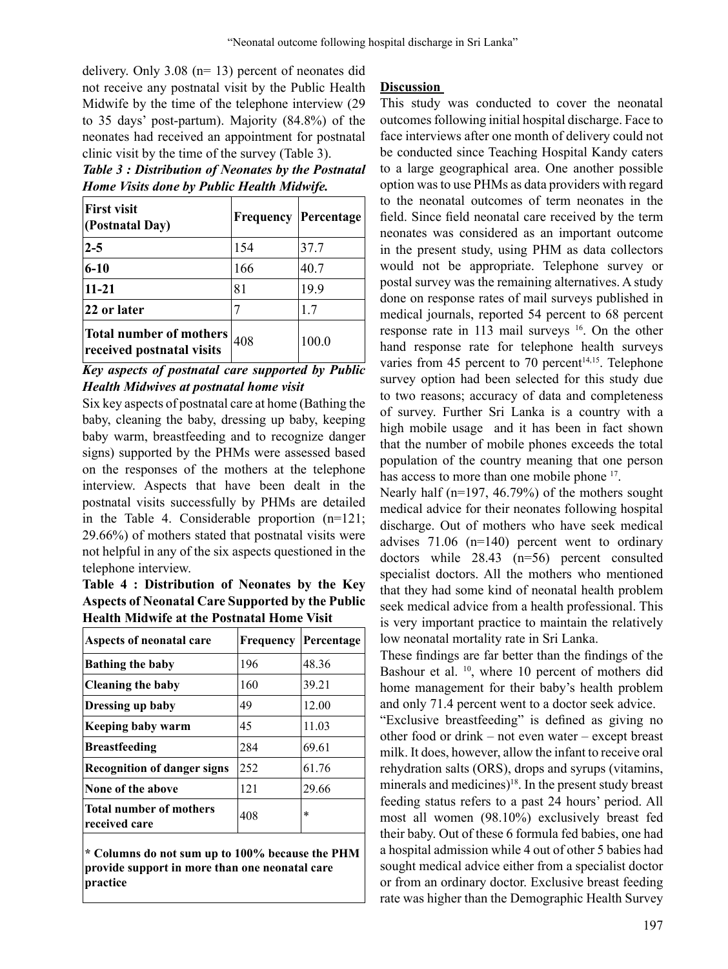delivery. Only  $3.08$  (n= 13) percent of neonates did not receive any postnatal visit by the Public Health Midwife by the time of the telephone interview (29 to 35 days' post-partum). Majority (84.8%) of the neonates had received an appointment for postnatal clinic visit by the time of the survey (Table 3).

*Table 3 : Distribution of Neonates by the Postnatal Home Visits done by Public Health Midwife.*

| First visit<br>(Postnatal Day)                       | Frequency | Percentage |
|------------------------------------------------------|-----------|------------|
| $2 - 5$                                              | 154       | 37.7       |
| $6 - 10$                                             | 166       | 40.7       |
| $11 - 21$                                            | 81        | 19.9       |
| 22 or later                                          |           | 1.7        |
| Total number of mothers<br>received postnatal visits | 408       | 100.0      |

*Key aspects of postnatal care supported by Public Health Midwives at postnatal home visit* 

Six key aspects of postnatal care at home (Bathing the baby, cleaning the baby, dressing up baby, keeping baby warm, breastfeeding and to recognize danger signs) supported by the PHMs were assessed based on the responses of the mothers at the telephone interview. Aspects that have been dealt in the postnatal visits successfully by PHMs are detailed in the Table 4. Considerable proportion (n=121; 29.66%) of mothers stated that postnatal visits were not helpful in any of the six aspects questioned in the telephone interview.

**Table 4 : Distribution of Neonates by the Key Aspects of Neonatal Care Supported by the Public Health Midwife at the Postnatal Home Visit**

| Aspects of neonatal care                        | Frequency | Percentage |
|-------------------------------------------------|-----------|------------|
| <b>Bathing the baby</b>                         | 196       | 48.36      |
| <b>Cleaning the baby</b>                        | 160       | 39.21      |
| Dressing up baby                                | 49        | 12.00      |
| Keeping baby warm                               | 45        | 11.03      |
| <b>Breastfeeding</b>                            | 284       | 69.61      |
| <b>Recognition of danger signs</b>              | 252       | 61.76      |
| None of the above                               | 121       | 29.66      |
| <b>Total number of mothers</b><br>received care | 408       | $\ast$     |

**\* Columns do not sum up to 100% because the PHM provide support in more than one neonatal care practice** 

# **Discussion**

This study was conducted to cover the neonatal outcomesfollowing initial hospital discharge. Face to face interviews after one month of delivery could not be conducted since Teaching Hospital Kandy caters to a large geographical area. One another possible option wasto use PHMs as data providers with regard to the neonatal outcomes of term neonates in the field. Since field neonatal care received by the term neonates was considered as an important outcome in the present study, using PHM as data collectors would not be appropriate. Telephone survey or postal survey was the remaining alternatives. A study done on response rates of mail surveys published in medical journals, reported 54 percent to 68 percent response rate in 113 mail surveys <sup>16</sup>. On the other hand response rate for telephone health surveys varies from 45 percent to 70 percent<sup>14,15</sup>. Telephone survey option had been selected for this study due to two reasons; accuracy of data and completeness of survey. Further Sri Lanka is a country with a high mobile usage and it has been in fact shown that the number of mobile phones exceeds the total population of the country meaning that one person has access to more than one mobile phone <sup>17</sup>.

Nearly half (n=197, 46.79%) of the mothers sought medical advice for their neonates following hospital discharge. Out of mothers who have seek medical advises 71.06 (n=140) percent went to ordinary doctors while 28.43 (n=56) percent consulted specialist doctors. All the mothers who mentioned that they had some kind of neonatal health problem seek medical advice from a health professional. This is very important practice to maintain the relatively low neonatal mortality rate in Sri Lanka.

These findings are far better than the findings of the Bashour et al. <sup>10</sup>, where 10 percent of mothers did home management for their baby's health problem and only 71.4 percent went to a doctor seek advice.

"Exclusive breastfeeding" is defined as giving no other food or drink – not even water – except breast milk. It does, however, allow the infant to receive oral rehydration salts (ORS), drops and syrups (vitamins, minerals and medicines)<sup>18</sup>. In the present study breast feeding status refers to a past 24 hours' period. All most all women (98.10%) exclusively breast fed their baby. Out of these 6 formula fed babies, one had a hospital admission while 4 out of other 5 babies had sought medical advice either from a specialist doctor or from an ordinary doctor. Exclusive breast feeding rate was higher than the Demographic Health Survey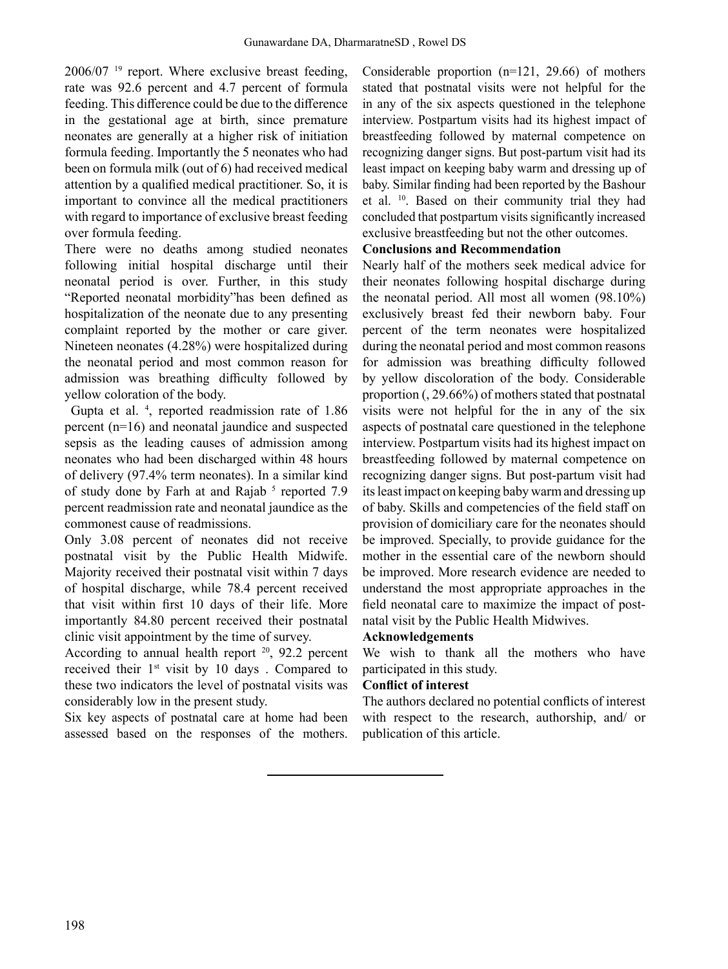$2006/07$  <sup>19</sup> report. Where exclusive breast feeding, rate was 92.6 percent and 4.7 percent of formula feeding. This difference could be due to the difference in the gestational age at birth, since premature neonates are generally at a higher risk of initiation formula feeding. Importantly the 5 neonates who had been on formula milk (out of 6) had received medical attention by a qualified medical practitioner. So, it is important to convince all the medical practitioners with regard to importance of exclusive breast feeding over formula feeding.

There were no deaths among studied neonates following initial hospital discharge until their neonatal period is over. Further, in this study "Reported neonatal morbidity"has been defined as hospitalization of the neonate due to any presenting complaint reported by the mother or care giver. Nineteen neonates (4.28%) were hospitalized during the neonatal period and most common reason for admission was breathing difficulty followed by yellow coloration of the body.

 Gupta et al. <sup>4</sup> , reported readmission rate of 1.86 percent (n=16) and neonatal jaundice and suspected sepsis as the leading causes of admission among neonates who had been discharged within 48 hours of delivery (97.4% term neonates). In a similar kind of study done by Farh at and Rajab <sup>5</sup> reported 7.9 percent readmission rate and neonatal jaundice as the commonest cause of readmissions.

Only 3.08 percent of neonates did not receive postnatal visit by the Public Health Midwife. Majority received their postnatal visit within 7 days of hospital discharge, while 78.4 percent received that visit within first 10 days of their life. More importantly 84.80 percent received their postnatal clinic visit appointment by the time of survey.

According to annual health report  $20$ , 92.2 percent received their 1<sup>st</sup> visit by 10 days. Compared to these two indicators the level of postnatal visits was considerably low in the present study.

Six key aspects of postnatal care at home had been assessed based on the responses of the mothers.

Considerable proportion (n=121, 29.66) of mothers stated that postnatal visits were not helpful for the in any of the six aspects questioned in the telephone interview. Postpartum visits had its highest impact of breastfeeding followed by maternal competence on recognizing danger signs. But post-partum visit had its least impact on keeping baby warm and dressing up of baby. Similar finding had been reported by the Bashour et al. 10. Based on their community trial they had concluded that postpartum visits significantly increased exclusive breastfeeding but not the other outcomes.

## **Conclusions and Recommendation**

Nearly half of the mothers seek medical advice for their neonates following hospital discharge during the neonatal period. All most all women (98.10%) exclusively breast fed their newborn baby. Four percent of the term neonates were hospitalized during the neonatal period and most common reasons for admission was breathing difficulty followed by yellow discoloration of the body. Considerable proportion  $(0.29.66\%)$  of mothers stated that postnatal visits were not helpful for the in any of the six aspects of postnatal care questioned in the telephone interview. Postpartum visits had its highest impact on breastfeeding followed by maternal competence on recognizing danger signs. But post-partum visit had itsleast impact on keeping baby warmand dressing up of baby. Skills and competencies of the field staff on provision of domiciliary care for the neonates should be improved. Specially, to provide guidance for the mother in the essential care of the newborn should be improved. More research evidence are needed to understand the most appropriate approaches in the field neonatal care to maximize the impact of postnatal visit by the Public Health Midwives.

#### **Acknowledgements**

We wish to thank all the mothers who have participated in this study.

### **Conflict of interest**

The authors declared no potential conflicts of interest with respect to the research, authorship, and/ or publication of this article.